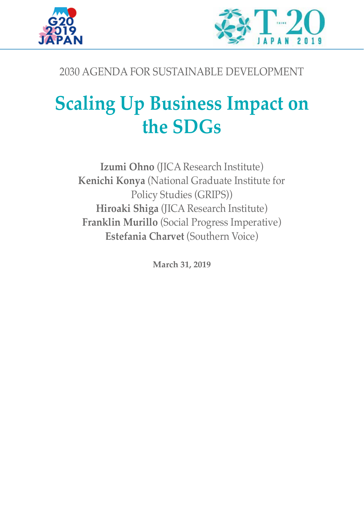



# 2030 AGENDA FOR SUSTAINABLE DEVELOPMENT

# **Scaling Up Business Impact on the SDGs**

**Izumi Ohno** (JICA Research Institute) **Kenichi Konya** (National Graduate Institute for Policy Studies (GRIPS)) **Hiroaki Shiga** (JICA Research Institute) **Franklin Murillo** (Social Progress Imperative) **Estefania Charvet** (Southern Voice)

**March 31, 2019**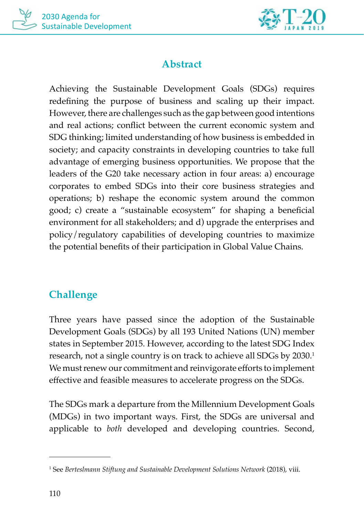



# **Abstract**

Achieving the Sustainable Development Goals (SDGs) requires redefining the purpose of business and scaling up their impact. However, there are challenges such as the gap between good intentions and real actions; conflict between the current economic system and SDG thinking; limited understanding of how business is embedded in society; and capacity constraints in developing countries to take full advantage of emerging business opportunities. We propose that the leaders of the G20 take necessary action in four areas: a) encourage corporates to embed SDGs into their core business strategies and operations; b) reshape the economic system around the common good; c) create a "sustainable ecosystem" for shaping a beneficial environment for all stakeholders; and d) upgrade the enterprises and policy/regulatory capabilities of developing countries to maximize the potential benefits of their participation in Global Value Chains.

# **Challenge**

Three years have passed since the adoption of the Sustainable Development Goals (SDGs) by all 193 United Nations (UN) member states in September 2015. However, according to the latest SDG Index research, not a single country is on track to achieve all SDGs by 2030.<sup>1</sup> We must renew our commitment and reinvigorate efforts to implement effective and feasible measures to accelerate progress on the SDGs.

The SDGs mark a departure from the Millennium Development Goals (MDGs) in two important ways. First, the SDGs are universal and applicable to *both* developed and developing countries. Second,

<sup>1</sup> See *Berteslmann Stiftung and Sustainable Development Solutions Network* (2018), viii.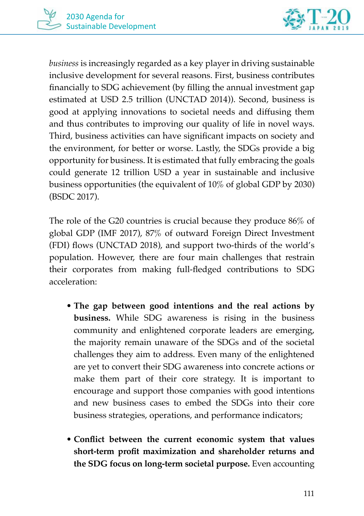

*business* is increasingly regarded as a key player in driving sustainable inclusive development for several reasons. First, business contributes financially to SDG achievement (by filling the annual investment gap estimated at USD 2.5 trillion (UNCTAD 2014)). Second, business is good at applying innovations to societal needs and diffusing them and thus contributes to improving our quality of life in novel ways. Third, business activities can have significant impacts on society and the environment, for better or worse. Lastly, the SDGs provide a big opportunity for business. It is estimated that fully embracing the goals could generate 12 trillion USD a year in sustainable and inclusive business opportunities (the equivalent of 10% of global GDP by 2030) (BSDC 2017).

The role of the G20 countries is crucial because they produce 86% of global GDP (IMF 2017), 87% of outward Foreign Direct Investment (FDI) flows (UNCTAD 2018), and support two-thirds of the world's population. However, there are four main challenges that restrain their corporates from making full-fledged contributions to SDG acceleration:

- **The gap between good intentions and the real actions by business.** While SDG awareness is rising in the business community and enlightened corporate leaders are emerging, the majority remain unaware of the SDGs and of the societal challenges they aim to address. Even many of the enlightened are yet to convert their SDG awareness into concrete actions or make them part of their core strategy. It is important to encourage and support those companies with good intentions and new business cases to embed the SDGs into their core business strategies, operations, and performance indicators;
- **Conflict between the current economic system that values short-term profit maximization and shareholder returns and the SDG focus on long-term societal purpose.** Even accounting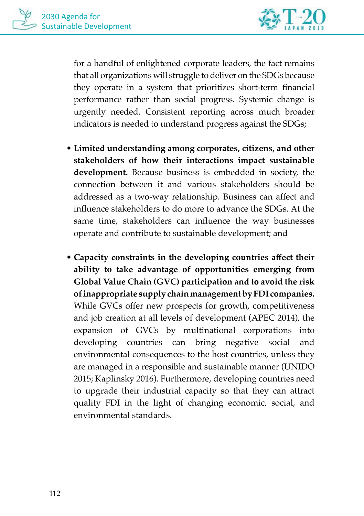

for a handful of enlightened corporate leaders, the fact remains that all organizations will struggle to deliver on the SDGs because they operate in a system that prioritizes short-term financial performance rather than social progress. Systemic change is urgently needed. Consistent reporting across much broader indicators is needed to understand progress against the SDGs;

- **Limited understanding among corporates, citizens, and other stakeholders of how their interactions impact sustainable development.** Because business is embedded in society, the connection between it and various stakeholders should be addressed as a two-way relationship. Business can affect and influence stakeholders to do more to advance the SDGs. At the same time, stakeholders can influence the way businesses operate and contribute to sustainable development; and
- **Capacity constraints in the developing countries affect their ability to take advantage of opportunities emerging from Global Value Chain (GVC) participation and to avoid the risk of inappropriate supply chain management by FDI companies.**  While GVCs offer new prospects for growth, competitiveness and job creation at all levels of development (APEC 2014), the expansion of GVCs by multinational corporations into developing countries can bring negative social and environmental consequences to the host countries, unless they are managed in a responsible and sustainable manner (UNIDO 2015; Kaplinsky 2016). Furthermore, developing countries need to upgrade their industrial capacity so that they can attract quality FDI in the light of changing economic, social, and environmental standards.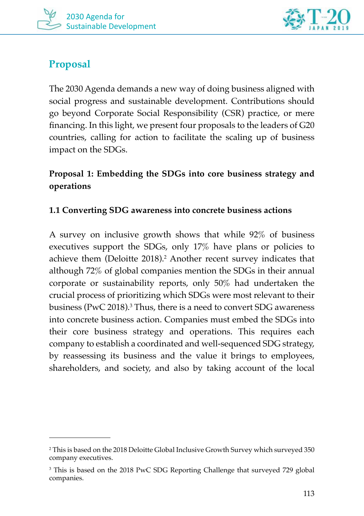

# **Proposal**

The 2030 Agenda demands a new way of doing business aligned with social progress and sustainable development. Contributions should go beyond Corporate Social Responsibility (CSR) practice, or mere financing. In this light, we present four proposals to the leaders of G20 countries, calling for action to facilitate the scaling up of business impact on the SDGs.

# **Proposal 1: Embedding the SDGs into core business strategy and operations**

#### **1.1 Converting SDG awareness into concrete business actions**

A survey on inclusive growth shows that while 92% of business executives support the SDGs, only 17% have plans or policies to achieve them (Deloitte 2018).<sup>2</sup> Another recent survey indicates that although 72% of global companies mention the SDGs in their annual corporate or sustainability reports, only 50% had undertaken the crucial process of prioritizing which SDGs were most relevant to their business (PwC 2018). $^3$  Thus, there is a need to convert SDG awareness into concrete business action. Companies must embed the SDGs into their core business strategy and operations. This requires each company to establish a coordinated and well-sequenced SDG strategy, by reassessing its business and the value it brings to employees, shareholders, and society, and also by taking account of the local

<sup>2</sup> This is based on the 2018 Deloitte Global Inclusive Growth Survey which surveyed 350 company executives.

<sup>3</sup> This is based on the 2018 PwC SDG Reporting Challenge that surveyed 729 global companies.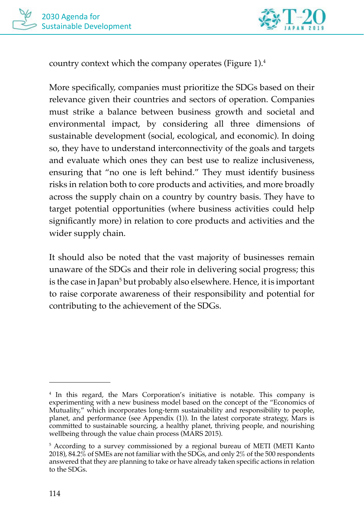



country context which the company operates (Figure 1).4

More specifically, companies must prioritize the SDGs based on their relevance given their countries and sectors of operation. Companies must strike a balance between business growth and societal and environmental impact, by considering all three dimensions of sustainable development (social, ecological, and economic). In doing so, they have to understand interconnectivity of the goals and targets and evaluate which ones they can best use to realize inclusiveness, ensuring that "no one is left behind." They must identify business risks in relation both to core products and activities, and more broadly across the supply chain on a country by country basis. They have to target potential opportunities (where business activities could help significantly more) in relation to core products and activities and the wider supply chain.

It should also be noted that the vast majority of businesses remain unaware of the SDGs and their role in delivering social progress; this is the case in Japan<sup>5</sup> but probably also elsewhere. Hence, it is important to raise corporate awareness of their responsibility and potential for contributing to the achievement of the SDGs.

<sup>4</sup> In this regard, the Mars Corporation's initiative is notable. This company is experimenting with a new business model based on the concept of the "Economics of Mutuality," which incorporates long-term sustainability and responsibility to people, planet, and performance (see Appendix (1)). In the latest corporate strategy, Mars is committed to sustainable sourcing, a healthy planet, thriving people, and nourishing wellbeing through the value chain process (MARS 2015).

<sup>5</sup> According to a survey commissioned by a regional bureau of METI (METI Kanto 2018), 84.2% of SMEs are not familiar with the SDGs, and only 2% of the 500 respondents answered that they are planning to take or have already taken specific actions in relation to the SDGs.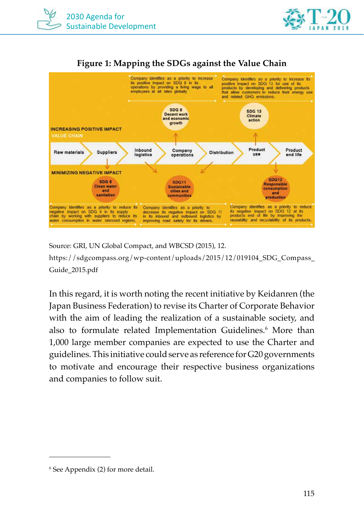







Source: GRI, UN Global Compact, and WBCSD (2015), 12. https://sdgcompass.org/wp-content/uploads/2015/12/019104 SDG\_Compass Guide\_2015.pdf

In this regard, it is worth noting the recent initiative by Keidanren (the Japan Business Federation) to revise its Charter of Corporate Behavior with the aim of leading the realization of a sustainable society, and also to formulate related Implementation Guidelines.<sup>6</sup> More than 1,000 large member companies are expected to use the Charter and guidelines. This initiative could serve as reference for G20 governments to motivate and encourage their respective business organizations and companies to follow suit.

<sup>6</sup> See Appendix (2) for more detail.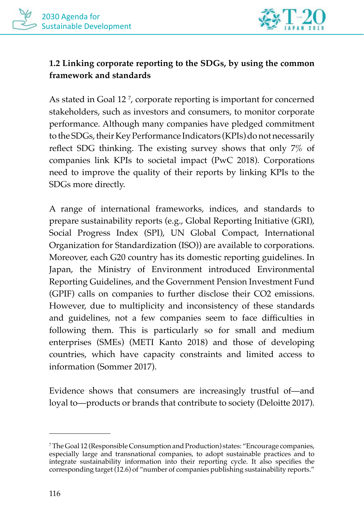

## **1.2 Linking corporate reporting to the SDGs, by using the common framework and standards**

As stated in Goal 12 7 , corporate reporting is important for concerned stakeholders, such as investors and consumers, to monitor corporate performance. Although many companies have pledged commitment to the SDGs, their Key Performance Indicators (KPIs) do not necessarily reflect SDG thinking. The existing survey shows that only 7% of companies link KPIs to societal impact (PwC 2018). Corporations need to improve the quality of their reports by linking KPIs to the SDGs more directly.

A range of international frameworks, indices, and standards to prepare sustainability reports (e.g., Global Reporting Initiative (GRI), Social Progress Index (SPI), UN Global Compact, International Organization for Standardization (ISO)) are available to corporations. Moreover, each G20 country has its domestic reporting guidelines. In Japan, the Ministry of Environment introduced Environmental Reporting Guidelines, and the Government Pension Investment Fund (GPIF) calls on companies to further disclose their CO2 emissions. However, due to multiplicity and inconsistency of these standards and guidelines, not a few companies seem to face difficulties in following them. This is particularly so for small and medium enterprises (SMEs) (METI Kanto 2018) and those of developing countries, which have capacity constraints and limited access to information (Sommer 2017).

Evidence shows that consumers are increasingly trustful of—and loyal to—products or brands that contribute to society (Deloitte 2017).

<sup>7</sup> The Goal 12 (Responsible Consumption and Production) states: "Encourage companies, especially large and transnational companies, to adopt sustainable practices and to integrate sustainability information into their reporting cycle. It also specifies the corresponding target (12.6) of "number of companies publishing sustainability reports."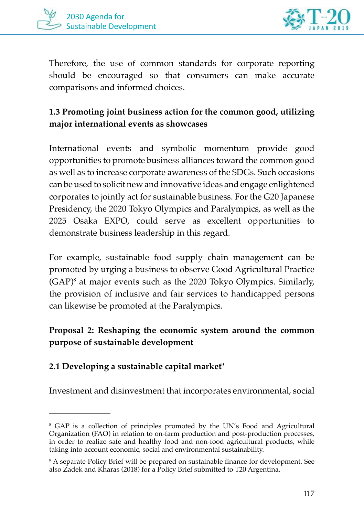



Therefore, the use of common standards for corporate reporting should be encouraged so that consumers can make accurate comparisons and informed choices.

## **1.3 Promoting joint business action for the common good, utilizing major international events as showcases**

International events and symbolic momentum provide good opportunities to promote business alliances toward the common good as well as to increase corporate awareness of the SDGs. Such occasions can be used to solicit new and innovative ideas and engage enlightened corporates to jointly act for sustainable business. For the G20 Japanese Presidency, the 2020 Tokyo Olympics and Paralympics, as well as the 2025 Osaka EXPO, could serve as excellent opportunities to demonstrate business leadership in this regard.

For example, sustainable food supply chain management can be promoted by urging a business to observe Good Agricultural Practice (GAP)8 at major events such as the 2020 Tokyo Olympics. Similarly, the provision of inclusive and fair services to handicapped persons can likewise be promoted at the Paralympics.

## **Proposal 2: Reshaping the economic system around the common purpose of sustainable development**

#### **2.1 Developing a sustainable capital market**<sup>9</sup>

Investment and disinvestment that incorporates environmental, social

<sup>8</sup> GAP is a collection of principles promoted by the UN's Food and Agricultural Organization (FAO) in relation to on-farm production and post-production processes, in order to realize safe and healthy food and non-food agricultural products, while taking into account economic, social and environmental sustainability.

<sup>9</sup> A separate Policy Brief will be prepared on sustainable finance for development. See also Zadek and Kharas (2018) for a Policy Brief submitted to T20 Argentina.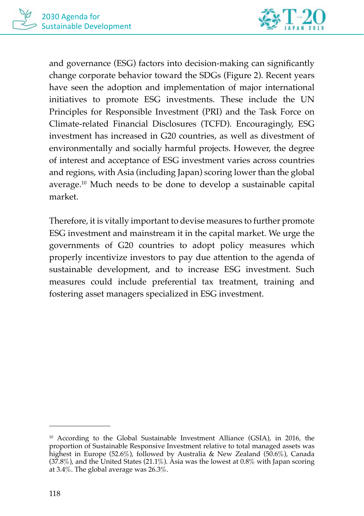

and governance (ESG) factors into decision-making can significantly change corporate behavior toward the SDGs (Figure 2). Recent years have seen the adoption and implementation of major international initiatives to promote ESG investments. These include the UN Principles for Responsible Investment (PRI) and the Task Force on Climate-related Financial Disclosures (TCFD). Encouragingly, ESG investment has increased in G20 countries, as well as divestment of environmentally and socially harmful projects. However, the degree of interest and acceptance of ESG investment varies across countries and regions, with Asia (including Japan) scoring lower than the global average.10 Much needs to be done to develop a sustainable capital market.

Therefore, it is vitally important to devise measures to further promote ESG investment and mainstream it in the capital market. We urge the governments of G20 countries to adopt policy measures which properly incentivize investors to pay due attention to the agenda of sustainable development, and to increase ESG investment. Such measures could include preferential tax treatment, training and fostering asset managers specialized in ESG investment.

<sup>10</sup> According to the Global Sustainable Investment Alliance (GSIA), in 2016, the proportion of Sustainable Responsive Investment relative to total managed assets was highest in Europe (52.6%), followed by Australia & New Zealand (50.6%), Canada  $(37.8\%)$ , and the United States  $(21.1\%)$ . Asia was the lowest at 0.8% with Japan scoring at 3.4%. The global average was 26.3%.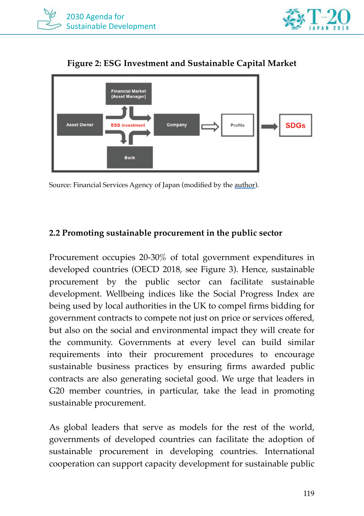





**Figure 2: ESG Investment and Sustainable Capital Market**

Source: Financial Services Agency of Japan (modified by the author).

#### **2.2 Promoting sustainable procurement in the public sector**

Procurement occupies 20-30% of total government expenditures in developed countries (OECD 2018, see Figure 3). Hence, sustainable procurement by the public sector can facilitate sustainable development. Wellbeing indices like the Social Progress Index are being used by local authorities in the UK to compel firms bidding for government contracts to compete not just on price or services offered, but also on the social and environmental impact they will create for the community. Governments at every level can build similar requirements into their procurement procedures to encourage sustainable business practices by ensuring firms awarded public contracts are also generating societal good. We urge that leaders in G20 member countries, in particular, take the lead in promoting sustainable procurement.

As global leaders that serve as models for the rest of the world, governments of developed countries can facilitate the adoption of sustainable procurement in developing countries. International cooperation can support capacity development for sustainable public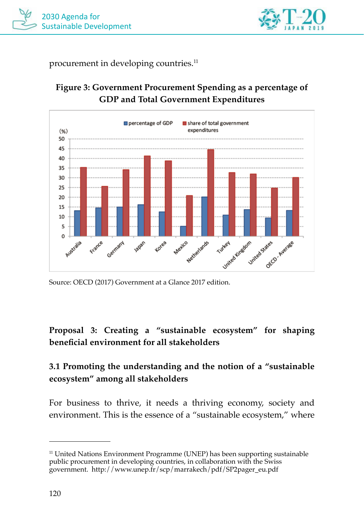



procurement in developing countries.<sup>11</sup>



## **Figure 3: Government Procurement Spending as a percentage of GDP and Total Government Expenditures**

Source: OECD (2017) Government at a Glance 2017 edition.

## **Proposal 3: Creating a "sustainable ecosystem" for shaping beneficial environment for all stakeholders**

## **3.1 Promoting the understanding and the notion of a "sustainable ecosystem" among all stakeholders**

For business to thrive, it needs a thriving economy, society and environment. This is the essence of a "sustainable ecosystem," where

<sup>&</sup>lt;sup>11</sup> United Nations Environment Programme (UNEP) has been supporting sustainable public procurement in developing countries, in collaboration with the Swiss government. http://www.unep.fr/scp/marrakech/pdf/SP2pager\_eu.pdf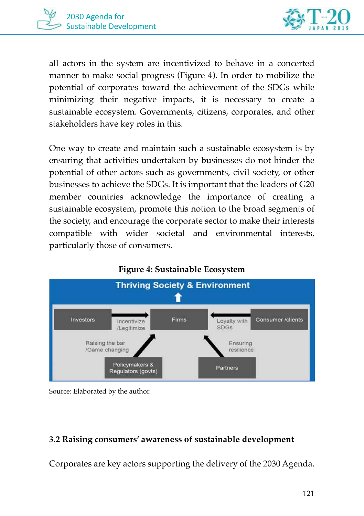



all actors in the system are incentivized to behave in a concerted manner to make social progress (Figure 4). In order to mobilize the potential of corporates toward the achievement of the SDGs while minimizing their negative impacts, it is necessary to create a sustainable ecosystem. Governments, citizens, corporates, and other stakeholders have key roles in this.

One way to create and maintain such a sustainable ecosystem is by ensuring that activities undertaken by businesses do not hinder the potential of other actors such as governments, civil society, or other businesses to achieve the SDGs. It is important that the leaders of G20 member countries acknowledge the importance of creating a sustainable ecosystem, promote this notion to the broad segments of the society, and encourage the corporate sector to make their interests compatible with wider societal and environmental interests, particularly those of consumers.



Source: Elaborated by the author.

#### **3.2 Raising consumers' awareness of sustainable development**

Corporates are key actors supporting the delivery of the 2030 Agenda.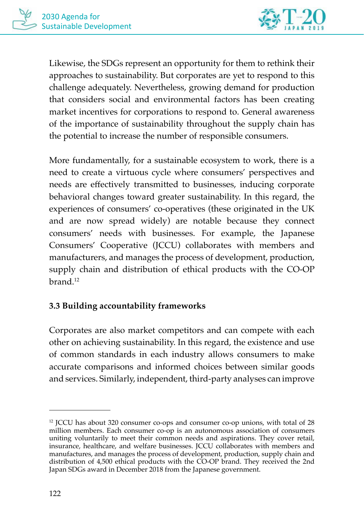

Likewise, the SDGs represent an opportunity for them to rethink their approaches to sustainability. But corporates are yet to respond to this challenge adequately. Nevertheless, growing demand for production that considers social and environmental factors has been creating market incentives for corporations to respond to. General awareness of the importance of sustainability throughout the supply chain has the potential to increase the number of responsible consumers.

More fundamentally, for a sustainable ecosystem to work, there is a need to create a virtuous cycle where consumers' perspectives and needs are effectively transmitted to businesses, inducing corporate behavioral changes toward greater sustainability. In this regard, the experiences of consumers' co-operatives (these originated in the UK and are now spread widely) are notable because they connect consumers' needs with businesses. For example, the Japanese Consumers' Cooperative (JCCU) collaborates with members and manufacturers, and manages the process of development, production, supply chain and distribution of ethical products with the CO-OP brand<sup>12</sup>

#### **3.3 Building accountability frameworks**

Corporates are also market competitors and can compete with each other on achieving sustainability. In this regard, the existence and use of common standards in each industry allows consumers to make accurate comparisons and informed choices between similar goods and services. Similarly, independent, third-party analyses can improve

<sup>12</sup> JCCU has about 320 consumer co-ops and consumer co-op unions, with total of 28 million members. Each consumer co-op is an autonomous association of consumers uniting voluntarily to meet their common needs and aspirations. They cover retail, insurance, healthcare, and welfare businesses. JCCU collaborates with members and manufactures, and manages the process of development, production, supply chain and distribution of 4,500 ethical products with the CO-OP brand. They received the 2nd Japan SDGs award in December 2018 from the Japanese government.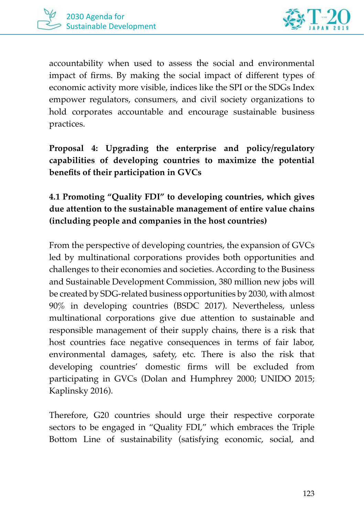



accountability when used to assess the social and environmental impact of firms. By making the social impact of different types of economic activity more visible, indices like the SPI or the SDGs Index empower regulators, consumers, and civil society organizations to hold corporates accountable and encourage sustainable business practices.

**Proposal 4: Upgrading the enterprise and policy/regulatory capabilities of developing countries to maximize the potential benefits of their participation in GVCs** 

## **4.1 Promoting "Quality FDI" to developing countries, which gives due attention to the sustainable management of entire value chains (including people and companies in the host countries)**

From the perspective of developing countries, the expansion of GVCs led by multinational corporations provides both opportunities and challenges to their economies and societies. According to the Business and Sustainable Development Commission, 380 million new jobs will be created by SDG-related business opportunities by 2030, with almost 90% in developing countries (BSDC 2017). Nevertheless, unless multinational corporations give due attention to sustainable and responsible management of their supply chains, there is a risk that host countries face negative consequences in terms of fair labor, environmental damages, safety, etc. There is also the risk that developing countries' domestic firms will be excluded from participating in GVCs (Dolan and Humphrey 2000; UNIDO 2015; Kaplinsky 2016).

Therefore, G20 countries should urge their respective corporate sectors to be engaged in "Quality FDI," which embraces the Triple Bottom Line of sustainability (satisfying economic, social, and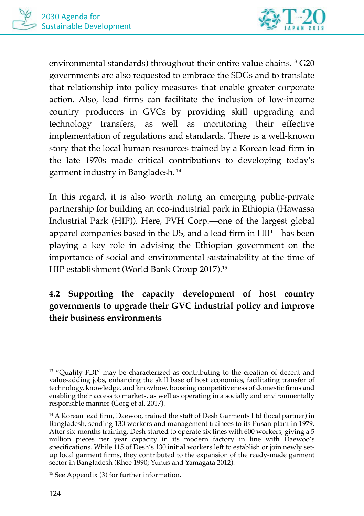

environmental standards) throughout their entire value chains.13 G20 governments are also requested to embrace the SDGs and to translate that relationship into policy measures that enable greater corporate action. Also, lead firms can facilitate the inclusion of low-income country producers in GVCs by providing skill upgrading and technology transfers, as well as monitoring their effective implementation of regulations and standards. There is a well-known story that the local human resources trained by a Korean lead firm in the late 1970s made critical contributions to developing today's garment industry in Bangladesh. 14

In this regard, it is also worth noting an emerging public-private partnership for building an eco-industrial park in Ethiopia (Hawassa Industrial Park (HIP)). Here, PVH Corp.—one of the largest global apparel companies based in the US, and a lead firm in HIP—has been playing a key role in advising the Ethiopian government on the importance of social and environmental sustainability at the time of HIP establishment (World Bank Group 2017).15

# **4.2 Supporting the capacity development of host country governments to upgrade their GVC industrial policy and improve their business environments**

<sup>&</sup>lt;sup>13</sup> "Quality FDI" may be characterized as contributing to the creation of decent and value-adding jobs, enhancing the skill base of host economies, facilitating transfer of technology, knowledge, and knowhow, boosting competitiveness of domestic firms and enabling their access to markets, as well as operating in a socially and environmentally responsible manner (Gorg et al. 2017).

<sup>&</sup>lt;sup>14</sup> A Korean lead firm, Daewoo, trained the staff of Desh Garments Ltd (local partner) in Bangladesh, sending 130 workers and management trainees to its Pusan plant in 1979. After six-months training, Desh started to operate six lines with 600 workers, giving a 5 million pieces per year capacity in its modern factory in line with Daewoo's specifications. While 115 of Desh's 130 initial workers left to establish or join newly setup local garment firms, they contributed to the expansion of the ready-made garment sector in Bangladesh (Rhee 1990; Yunus and Yamagata 2012).

<sup>15</sup> See Appendix (3) for further information.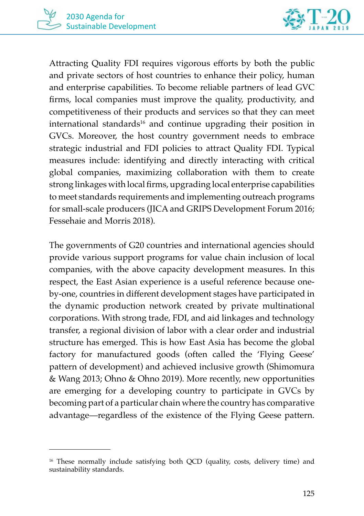

Attracting Quality FDI requires vigorous efforts by both the public and private sectors of host countries to enhance their policy, human and enterprise capabilities. To become reliable partners of lead GVC firms, local companies must improve the quality, productivity, and competitiveness of their products and services so that they can meet international standards<sup>16</sup> and continue upgrading their position in GVCs. Moreover, the host country government needs to embrace strategic industrial and FDI policies to attract Quality FDI. Typical measures include: identifying and directly interacting with critical global companies, maximizing collaboration with them to create strong linkages with local firms, upgrading local enterprise capabilities to meet standards requirements and implementing outreach programs for small-scale producers (JICA and GRIPS Development Forum 2016; Fessehaie and Morris 2018).

The governments of G20 countries and international agencies should provide various support programs for value chain inclusion of local companies, with the above capacity development measures. In this respect, the East Asian experience is a useful reference because oneby-one, countries in different development stages have participated in the dynamic production network created by private multinational corporations. With strong trade, FDI, and aid linkages and technology transfer, a regional division of labor with a clear order and industrial structure has emerged. This is how East Asia has become the global factory for manufactured goods (often called the 'Flying Geese' pattern of development) and achieved inclusive growth (Shimomura & Wang 2013; Ohno & Ohno 2019). More recently, new opportunities are emerging for a developing country to participate in GVCs by becoming part of a particular chain where the country has comparative advantage—regardless of the existence of the Flying Geese pattern.

<sup>&</sup>lt;sup>16</sup> These normally include satisfying both QCD (quality, costs, delivery time) and sustainability standards.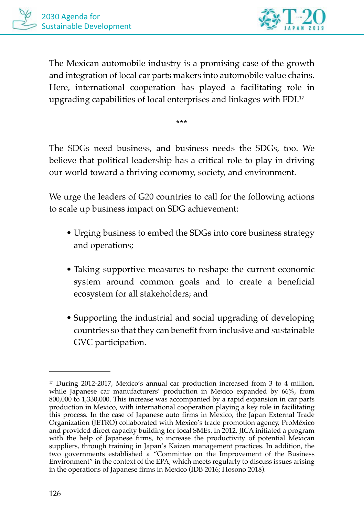

The Mexican automobile industry is a promising case of the growth and integration of local car parts makers into automobile value chains. Here, international cooperation has played a facilitating role in upgrading capabilities of local enterprises and linkages with FDI.17

**\*\*\***

The SDGs need business, and business needs the SDGs, too. We believe that political leadership has a critical role to play in driving our world toward a thriving economy, society, and environment.

We urge the leaders of G20 countries to call for the following actions to scale up business impact on SDG achievement:

- Urging business to embed the SDGs into core business strategy and operations;
- Taking supportive measures to reshape the current economic system around common goals and to create a beneficial ecosystem for all stakeholders; and
- Supporting the industrial and social upgrading of developing countries so that they can benefit from inclusive and sustainable GVC participation.

<sup>&</sup>lt;sup>17</sup> During 2012-2017, Mexico's annual car production increased from 3 to 4 million, while Japanese car manufacturers' production in Mexico expanded by 66%, from 800,000 to 1,330,000. This increase was accompanied by a rapid expansion in car parts production in Mexico, with international cooperation playing a key role in facilitating this process. In the case of Japanese auto firms in Mexico, the Japan External Trade Organization (JETRO) collaborated with Mexico's trade promotion agency, ProMéxico and provided direct capacity building for local SMEs. In 2012, JICA initiated a program with the help of Japanese firms, to increase the productivity of potential Mexican suppliers, through training in Japan's Kaizen management practices. In addition, the two governments established a "Committee on the Improvement of the Business Environment" in the context of the EPA, which meets regularly to discuss issues arising in the operations of Japanese firms in Mexico (IDB 2016; Hosono 2018).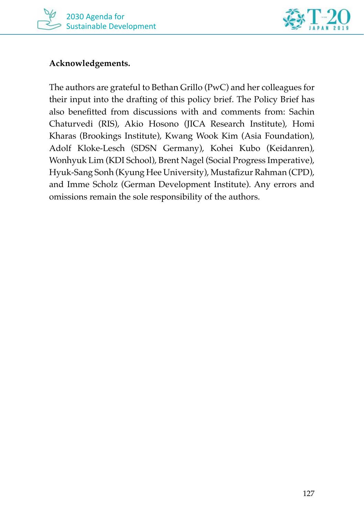



#### **Acknowledgements.**

The authors are grateful to Bethan Grillo (PwC) and her colleagues for their input into the drafting of this policy brief. The Policy Brief has also benefitted from discussions with and comments from: Sachin Chaturvedi (RIS), Akio Hosono (JICA Research Institute), Homi Kharas (Brookings Institute), Kwang Wook Kim (Asia Foundation), Adolf Kloke-Lesch (SDSN Germany), Kohei Kubo (Keidanren), Wonhyuk Lim (KDI School), Brent Nagel (Social Progress Imperative), Hyuk-Sang Sonh (Kyung Hee University), Mustafizur Rahman (CPD), and Imme Scholz (German Development Institute). Any errors and omissions remain the sole responsibility of the authors.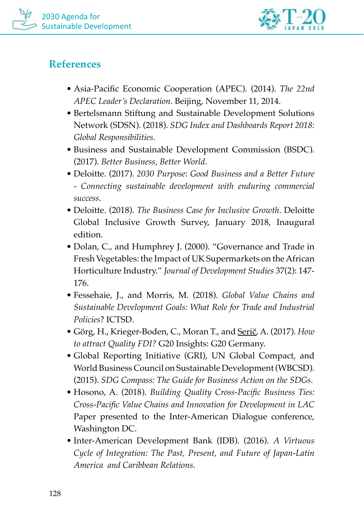



# **References**

- Asia-Pacific Economic Cooperation (APEC). (2014). *The 22nd APEC Leader's Declaration*. Beijing, November 11, 2014.
- Bertelsmann Stiftung and Sustainable Development Solutions Network (SDSN). (2018). *SDG Index and Dashboards Report 2018: Global Responsibilities*.
- Business and Sustainable Development Commission (BSDC). (2017). *Better Business, Better World*.
- Deloitte. (2017). *2030 Purpose: Good Business and a Better Future - Connecting sustainable development with enduring commercial success*.
- Deloitte. (2018). *The Business Case for Inclusive Growth*. Deloitte Global Inclusive Growth Survey, January 2018, Inaugural edition.
- Dolan, C., and Humphrey J. (2000). "Governance and Trade in Fresh Vegetables: the Impact of UK Supermarkets on the African Horticulture Industry." *Journal of Development Studies* 37(2): 147- 176.
- Fessehaie, J., and Morris, M. (2018). *Global Value Chains and Sustainable Development Goals: What Role for Trade and Industrial Policies*? ICTSD.
- Görg, H., Krieger-Boden, C., Moran T., and Serič, A. (2017). *How to attract Quality FDI?* G20 Insights: G20 Germany.
- Global Reporting Initiative (GRI), UN Global Compact, and World Business Council on Sustainable Development (WBCSD). (2015). *SDG Compass: The Guide for Business Action on the SDGs*.
- Hosono, A. (2018). *Building Quality Cross-Pacific Business Ties: Cross-Pacific Value Chains and Innovation for Development in LAC* Paper presented to the Inter-American Dialogue conference, Washington DC.
- Inter-American Development Bank (IDB). (2016). *A Virtuous Cycle of Integration: The Past, Present, and Future of Japan-Latin America and Caribbean Relations*.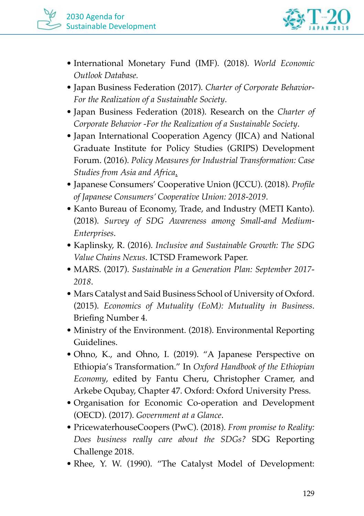

- International Monetary Fund (IMF). (2018). *World Economic Outlook Database.*
- Japan Business Federation (2017). *Charter of Corporate Behavior-For the Realization of a Sustainable Society*.
- Japan Business Federation (2018). Research on the *Charter of Corporate Behavior -For the Realization of a Sustainable Society*.
- Japan International Cooperation Agency (JICA) and National Graduate Institute for Policy Studies (GRIPS) Development Forum. (2016). *Policy Measures for Industrial Transformation: Case Studies from Asia and Africa*.
- Japanese Consumers' Cooperative Union (JCCU). (2018). *Profile of Japanese Consumers' Cooperative Union: 2018-2019*.
- Kanto Bureau of Economy, Trade, and Industry (METI Kanto). (2018). *Survey of SDG Awareness among Small-and Medium-Enterprises*.
- Kaplinsky, R. (2016). *Inclusive and Sustainable Growth: The SDG Value Chains Nexus*. ICTSD Framework Paper.
- MARS. (2017). *Sustainable in a Generation Plan: September 2017- 2018*.
- Mars Catalyst and Said Business School of University of Oxford. (2015). *Economics of Mutuality (EoM): Mutuality in Business*. Briefing Number 4.
- Ministry of the Environment. (2018). Environmental Reporting Guidelines.
- Ohno, K., and Ohno, I. (2019). "A Japanese Perspective on Ethiopia's Transformation." In *Oxford Handbook of the Ethiopian Economy*, edited by Fantu Cheru, Christopher Cramer, and Arkebe Oqubay, Chapter 47. Oxford: Oxford University Press.
- Organisation for Economic Co-operation and Development (OECD). (2017). *Government at a Glance*.
- PricewaterhouseCoopers (PwC). (2018). *From promise to Reality: Does business really care about the SDGs?* SDG Reporting Challenge 2018.
- Rhee, Y. W. (1990). "The Catalyst Model of Development: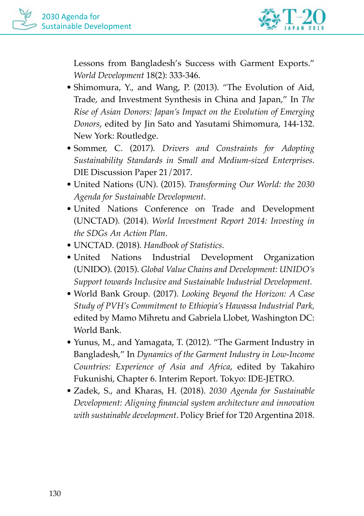

Lessons from Bangladesh's Success with Garment Exports." *World Development* 18(2): 333-346.

- Shimomura, Y., and Wang, P. (2013). "The Evolution of Aid, Trade, and Investment Synthesis in China and Japan," In *The Rise of Asian Donors: Japan's Impact on the Evolution of Emerging Donors*, edited by Jin Sato and Yasutami Shimomura, 144-132. New York: Routledge.
- Sommer, C. (2017). *Drivers and Constraints for Adopting Sustainability Standards in Small and Medium-sized Enterprises*. DIE Discussion Paper 21/2017.
- United Nations (UN). (2015). *Transforming Our World: the 2030 Agenda for Sustainable Development*.
- United Nations Conference on Trade and Development (UNCTAD). (2014). *World Investment Report 2014: Investing in the SDGs An Action Plan*.
- UNCTAD. (2018). *Handbook of Statistics*.
- United Nations Industrial Development Organization (UNIDO). (2015). *Global Value Chains and Development: UNIDO's Support towards Inclusive and Sustainable Industrial Development.*
- World Bank Group. (2017). *Looking Beyond the Horizon: A Case Study of PVH's Commitment to Ethiopia's Hawassa Industrial Park,*  edited by Mamo Mihretu and Gabriela Llobet, Washington DC: World Bank.
- Yunus, M., and Yamagata, T. (2012). "The Garment Industry in Bangladesh," In *Dynamics of the Garment Industry in Low-Income Countries: Experience of Asia and Africa*, edited by Takahiro Fukunishi, Chapter 6. Interim Report. Tokyo: IDE-JETRO.
- Zadek, S., and Kharas, H. (2018). *2030 Agenda for Sustainable Development: Aligning financial system architecture and innovation with sustainable development*. Policy Brief for T20 Argentina 2018.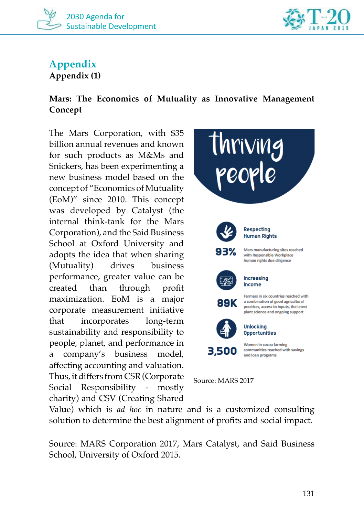



# **Appendix**

**Appendix (1)**

#### **Mars: The Economics of Mutuality as Innovative Management Concept**

The Mars Corporation, with \$35 billion annual revenues and known for such products as M&Ms and Snickers, has been experimenting a new business model based on the concept of "Economics of Mutuality (EoM)" since 2010. This concept was developed by Catalyst (the internal think-tank for the Mars Corporation), and the Said Business School at Oxford University and adopts the idea that when sharing (Mutuality) drives business performance, greater value can be created than through profit maximization. EoM is a major corporate measurement initiative that incorporates long-term sustainability and responsibility to people, planet, and performance in a company's business model, affecting accounting and valuation. Thus, it differs from CSR (Corporate Social Responsibility - mostly charity) and CSV (Creating Shared



Value) which is *ad hoc* in nature and is a customized consulting solution to determine the best alignment of profits and social impact.

Source: MARS Corporation 2017, Mars Catalyst, and Said Business School, University of Oxford 2015.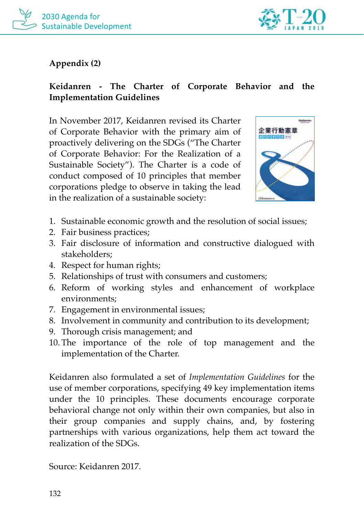



#### **Appendix (2)**

#### **Keidanren - The Charter of Corporate Behavior and the Implementation Guidelines**

In November 2017, Keidanren revised its Charter of Corporate Behavior with the primary aim of proactively delivering on the SDGs ("The Charter of Corporate Behavior: For the Realization of a Sustainable Society"). The Charter is a code of conduct composed of 10 principles that member corporations pledge to observe in taking the lead in the realization of a sustainable society:



- 1. Sustainable economic growth and the resolution of social issues;
- 2. Fair business practices;
- 3. Fair disclosure of information and constructive dialogued with stakeholders;
- 4. Respect for human rights;
- 5. Relationships of trust with consumers and customers;
- 6. Reform of working styles and enhancement of workplace environments;
- 7. Engagement in environmental issues;
- 8. Involvement in community and contribution to its development;
- 9. Thorough crisis management; and
- 10. The importance of the role of top management and the implementation of the Charter.

Keidanren also formulated a set of *Implementation Guidelines* for the use of member corporations, specifying 49 key implementation items under the 10 principles. These documents encourage corporate behavioral change not only within their own companies, but also in their group companies and supply chains, and, by fostering partnerships with various organizations, help them act toward the realization of the SDGs.

Source: Keidanren 2017.